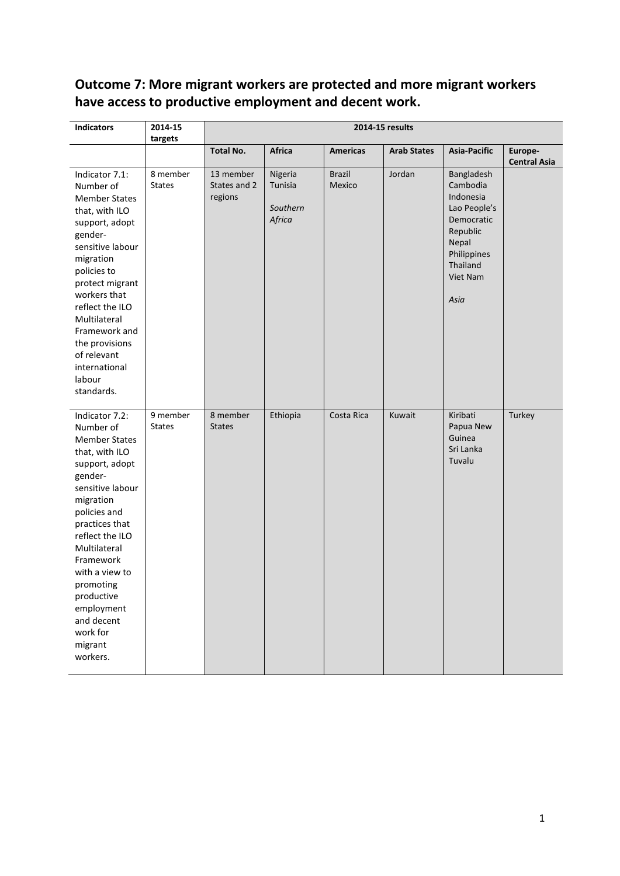# **Outcome 7: More migrant workers are protected and more migrant workers have access to productive employment and decent work.**

| <b>Indicators</b>                                                                                                                                                                                                                                                                                                                 | 2014-15<br>targets        | 2014-15 results                      |                                          |                         |                    |                                                                                                                                       |                                |
|-----------------------------------------------------------------------------------------------------------------------------------------------------------------------------------------------------------------------------------------------------------------------------------------------------------------------------------|---------------------------|--------------------------------------|------------------------------------------|-------------------------|--------------------|---------------------------------------------------------------------------------------------------------------------------------------|--------------------------------|
|                                                                                                                                                                                                                                                                                                                                   |                           | <b>Total No.</b>                     | <b>Africa</b>                            | <b>Americas</b>         | <b>Arab States</b> | <b>Asia-Pacific</b>                                                                                                                   | Europe-<br><b>Central Asia</b> |
| Indicator 7.1:<br>Number of<br><b>Member States</b><br>that, with ILO<br>support, adopt<br>gender-<br>sensitive labour<br>migration<br>policies to<br>protect migrant<br>workers that<br>reflect the ILO<br>Multilateral<br>Framework and<br>the provisions<br>of relevant<br>international<br>labour<br>standards.               | 8 member<br><b>States</b> | 13 member<br>States and 2<br>regions | Nigeria<br>Tunisia<br>Southern<br>Africa | <b>Brazil</b><br>Mexico | Jordan             | Bangladesh<br>Cambodia<br>Indonesia<br>Lao People's<br>Democratic<br>Republic<br>Nepal<br>Philippines<br>Thailand<br>Viet Nam<br>Asia |                                |
| Indicator 7.2:<br>Number of<br><b>Member States</b><br>that, with ILO<br>support, adopt<br>gender-<br>sensitive labour<br>migration<br>policies and<br>practices that<br>reflect the ILO<br>Multilateral<br>Framework<br>with a view to<br>promoting<br>productive<br>employment<br>and decent<br>work for<br>migrant<br>workers. | 9 member<br><b>States</b> | 8 member<br><b>States</b>            | Ethiopia                                 | Costa Rica              | Kuwait             | Kiribati<br>Papua New<br>Guinea<br>Sri Lanka<br>Tuvalu                                                                                | Turkey                         |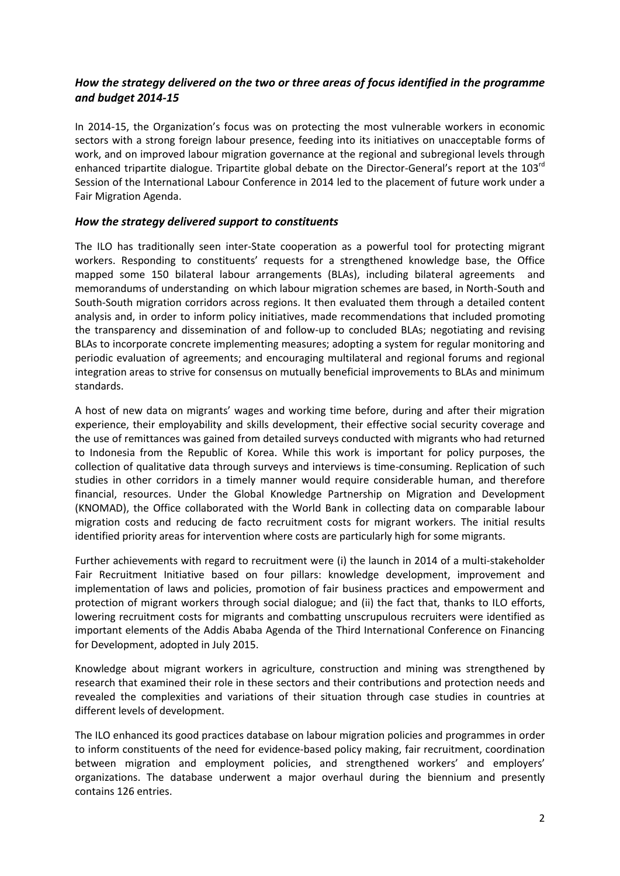## *How the strategy delivered on the two or three areas of focus identified in the programme and budget 2014-15*

In 2014-15, the Organization's focus was on protecting the most vulnerable workers in economic sectors with a strong foreign labour presence, feeding into its initiatives on unacceptable forms of work, and on improved labour migration governance at the regional and subregional levels through enhanced tripartite dialogue. Tripartite global debate on the Director-General's report at the 103<sup>rd</sup> Session of the International Labour Conference in 2014 led to the placement of future work under a Fair Migration Agenda.

### *How the strategy delivered support to constituents*

The ILO has traditionally seen inter-State cooperation as a powerful tool for protecting migrant workers. Responding to constituents' requests for a strengthened knowledge base, the Office mapped some 150 bilateral labour arrangements (BLAs), including bilateral agreements and memorandums of understanding on which labour migration schemes are based, in North-South and South-South migration corridors across regions. It then evaluated them through a detailed content analysis and, in order to inform policy initiatives, made recommendations that included promoting the transparency and dissemination of and follow-up to concluded BLAs; negotiating and revising BLAs to incorporate concrete implementing measures; adopting a system for regular monitoring and periodic evaluation of agreements; and encouraging multilateral and regional forums and regional integration areas to strive for consensus on mutually beneficial improvements to BLAs and minimum standards.

A host of new data on migrants' wages and working time before, during and after their migration experience, their employability and skills development, their effective social security coverage and the use of remittances was gained from detailed surveys conducted with migrants who had returned to Indonesia from the Republic of Korea. While this work is important for policy purposes, the collection of qualitative data through surveys and interviews is time-consuming. Replication of such studies in other corridors in a timely manner would require considerable human, and therefore financial, resources. Under the Global Knowledge Partnership on Migration and Development (KNOMAD), the Office collaborated with the World Bank in collecting data on comparable labour migration costs and reducing de facto recruitment costs for migrant workers. The initial results identified priority areas for intervention where costs are particularly high for some migrants.

Further achievements with regard to recruitment were (i) the launch in 2014 of a multi-stakeholder Fair Recruitment Initiative based on four pillars: knowledge development, improvement and implementation of laws and policies, promotion of fair business practices and empowerment and protection of migrant workers through social dialogue; and (ii) the fact that, thanks to ILO efforts, lowering recruitment costs for migrants and combatting unscrupulous recruiters were identified as important elements of the Addis Ababa Agenda of the Third International Conference on Financing for Development, adopted in July 2015.

Knowledge about migrant workers in agriculture, construction and mining was strengthened by research that examined their role in these sectors and their contributions and protection needs and revealed the complexities and variations of their situation through case studies in countries at different levels of development.

The ILO enhanced its good practices database on labour migration policies and programmes in order to inform constituents of the need for evidence-based policy making, fair recruitment, coordination between migration and employment policies, and strengthened workers' and employers' organizations. The database underwent a major overhaul during the biennium and presently contains 126 entries.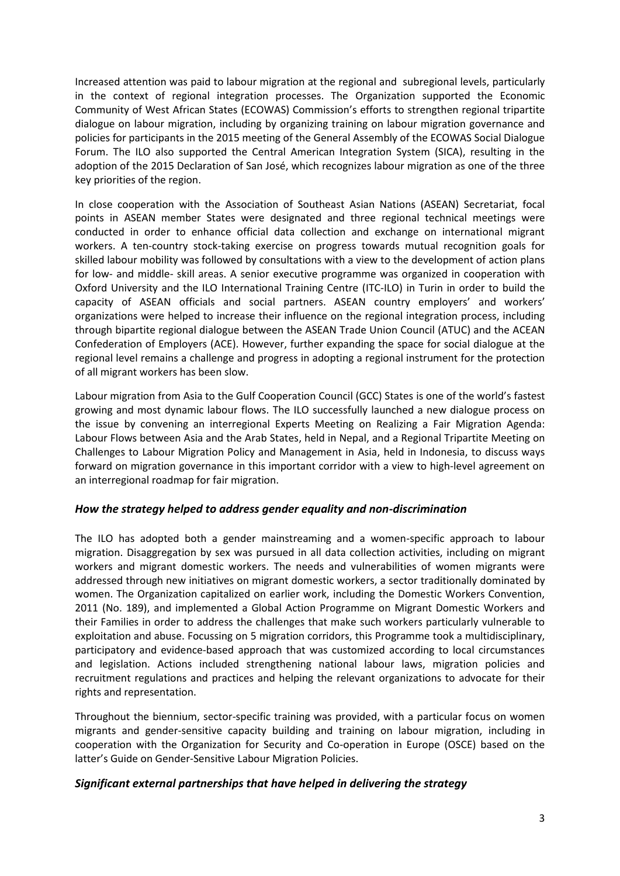Increased attention was paid to labour migration at the regional and subregional levels, particularly in the context of regional integration processes. The Organization supported the Economic Community of West African States (ECOWAS) Commission's efforts to strengthen regional tripartite dialogue on labour migration, including by organizing training on labour migration governance and policies for participants in the 2015 meeting of the General Assembly of the ECOWAS Social Dialogue Forum. The ILO also supported the Central American Integration System (SICA), resulting in the adoption of the 2015 Declaration of San José, which recognizes labour migration as one of the three key priorities of the region.

In close cooperation with the Association of Southeast Asian Nations (ASEAN) Secretariat, focal points in ASEAN member States were designated and three regional technical meetings were conducted in order to enhance official data collection and exchange on international migrant workers. A ten-country stock-taking exercise on progress towards mutual recognition goals for skilled labour mobility was followed by consultations with a view to the development of action plans for low- and middle- skill areas. A senior executive programme was organized in cooperation with Oxford University and the ILO International Training Centre (ITC-ILO) in Turin in order to build the capacity of ASEAN officials and social partners. ASEAN country employers' and workers' organizations were helped to increase their influence on the regional integration process, including through bipartite regional dialogue between the ASEAN Trade Union Council (ATUC) and the ACEAN Confederation of Employers (ACE). However, further expanding the space for social dialogue at the regional level remains a challenge and progress in adopting a regional instrument for the protection of all migrant workers has been slow.

Labour migration from Asia to the Gulf Cooperation Council (GCC) States is one of the world's fastest growing and most dynamic labour flows. The ILO successfully launched a new dialogue process on the issue by convening an interregional Experts Meeting on Realizing a Fair Migration Agenda: Labour Flows between Asia and the Arab States, held in Nepal, and a Regional Tripartite Meeting on Challenges to Labour Migration Policy and Management in Asia, held in Indonesia, to discuss ways forward on migration governance in this important corridor with a view to high-level agreement on an interregional roadmap for fair migration.

### *How the strategy helped to address gender equality and non-discrimination*

The ILO has adopted both a gender mainstreaming and a women-specific approach to labour migration. Disaggregation by sex was pursued in all data collection activities, including on migrant workers and migrant domestic workers. The needs and vulnerabilities of women migrants were addressed through new initiatives on migrant domestic workers, a sector traditionally dominated by women. The Organization capitalized on earlier work, including the Domestic Workers Convention, 2011 (No. 189), and implemented a Global Action Programme on Migrant Domestic Workers and their Families in order to address the challenges that make such workers particularly vulnerable to exploitation and abuse. Focussing on 5 migration corridors, this Programme took a multidisciplinary, participatory and evidence-based approach that was customized according to local circumstances and legislation. Actions included strengthening national labour laws, migration policies and recruitment regulations and practices and helping the relevant organizations to advocate for their rights and representation.

Throughout the biennium, sector-specific training was provided, with a particular focus on women migrants and gender-sensitive capacity building and training on labour migration, including in cooperation with the Organization for Security and Co-operation in Europe (OSCE) based on the latter's Guide on Gender-Sensitive Labour Migration Policies.

### *Significant external partnerships that have helped in delivering the strategy*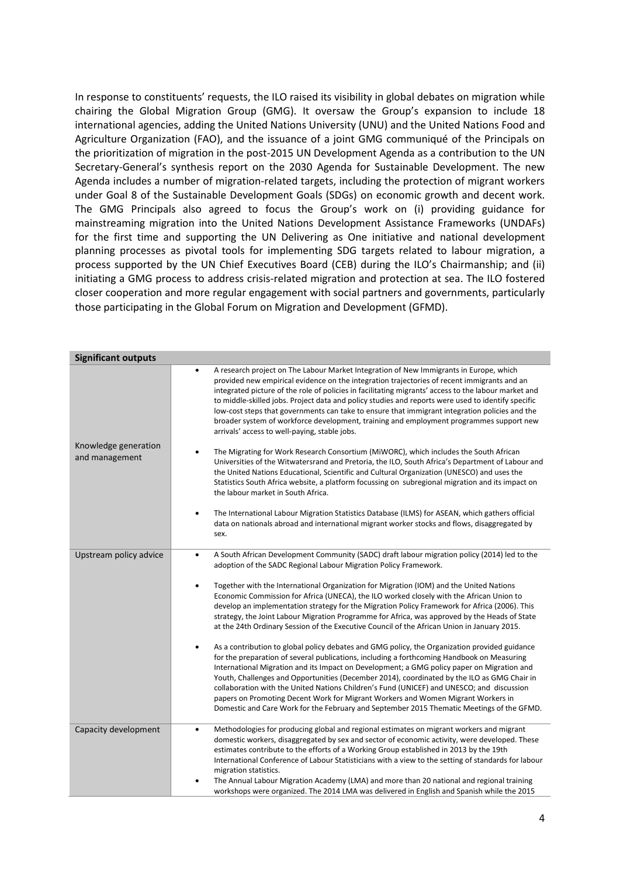In response to constituents' requests, the ILO raised its visibility in global debates on migration while chairing the Global Migration Group (GMG). It oversaw the Group's expansion to include 18 international agencies, adding the United Nations University (UNU) and the United Nations Food and Agriculture Organization (FAO), and the issuance of a joint GMG communiqué of the Principals on the prioritization of migration in the post-2015 UN Development Agenda as a contribution to the UN Secretary-General's synthesis report on the 2030 Agenda for Sustainable Development. The new Agenda includes a number of migration-related targets, including the protection of migrant workers under Goal 8 of the Sustainable Development Goals (SDGs) on economic growth and decent work. The GMG Principals also agreed to focus the Group's work on (i) providing guidance for mainstreaming migration into the United Nations Development Assistance Frameworks (UNDAFs) for the first time and supporting the UN Delivering as One initiative and national development planning processes as pivotal tools for implementing SDG targets related to labour migration, a process supported by the UN Chief Executives Board (CEB) during the ILO's Chairmanship; and (ii) initiating a GMG process to address crisis-related migration and protection at sea. The ILO fostered closer cooperation and more regular engagement with social partners and governments, particularly those participating in the Global Forum on Migration and Development (GFMD).

| <b>Significant outputs</b>             |                                                                                                                                                                                                                                                                                                                                                                                                                                                                                                                                                                                                                                                                                     |
|----------------------------------------|-------------------------------------------------------------------------------------------------------------------------------------------------------------------------------------------------------------------------------------------------------------------------------------------------------------------------------------------------------------------------------------------------------------------------------------------------------------------------------------------------------------------------------------------------------------------------------------------------------------------------------------------------------------------------------------|
|                                        | A research project on The Labour Market Integration of New Immigrants in Europe, which<br>$\bullet$<br>provided new empirical evidence on the integration trajectories of recent immigrants and an<br>integrated picture of the role of policies in facilitating migrants' access to the labour market and<br>to middle-skilled jobs. Project data and policy studies and reports were used to identify specific<br>low-cost steps that governments can take to ensure that immigrant integration policies and the<br>broader system of workforce development, training and employment programmes support new<br>arrivals' access to well-paying, stable jobs.                      |
| Knowledge generation<br>and management | The Migrating for Work Research Consortium (MiWORC), which includes the South African<br>$\bullet$<br>Universities of the Witwatersrand and Pretoria, the ILO, South Africa's Department of Labour and<br>the United Nations Educational, Scientific and Cultural Organization (UNESCO) and uses the<br>Statistics South Africa website, a platform focussing on subregional migration and its impact on<br>the labour market in South Africa.                                                                                                                                                                                                                                      |
|                                        | The International Labour Migration Statistics Database (ILMS) for ASEAN, which gathers official<br>$\bullet$<br>data on nationals abroad and international migrant worker stocks and flows, disaggregated by<br>sex.                                                                                                                                                                                                                                                                                                                                                                                                                                                                |
| Upstream policy advice                 | A South African Development Community (SADC) draft labour migration policy (2014) led to the<br>$\bullet$<br>adoption of the SADC Regional Labour Migration Policy Framework.                                                                                                                                                                                                                                                                                                                                                                                                                                                                                                       |
|                                        | Together with the International Organization for Migration (IOM) and the United Nations<br>$\bullet$<br>Economic Commission for Africa (UNECA), the ILO worked closely with the African Union to<br>develop an implementation strategy for the Migration Policy Framework for Africa (2006). This<br>strategy, the Joint Labour Migration Programme for Africa, was approved by the Heads of State<br>at the 24th Ordinary Session of the Executive Council of the African Union in January 2015.                                                                                                                                                                                   |
|                                        | As a contribution to global policy debates and GMG policy, the Organization provided guidance<br>$\bullet$<br>for the preparation of several publications, including a forthcoming Handbook on Measuring<br>International Migration and its Impact on Development; a GMG policy paper on Migration and<br>Youth, Challenges and Opportunities (December 2014), coordinated by the ILO as GMG Chair in<br>collaboration with the United Nations Children's Fund (UNICEF) and UNESCO; and discussion<br>papers on Promoting Decent Work for Migrant Workers and Women Migrant Workers in<br>Domestic and Care Work for the February and September 2015 Thematic Meetings of the GFMD. |
| Capacity development                   | Methodologies for producing global and regional estimates on migrant workers and migrant<br>$\bullet$<br>domestic workers, disaggregated by sex and sector of economic activity, were developed. These<br>estimates contribute to the efforts of a Working Group established in 2013 by the 19th<br>International Conference of Labour Statisticians with a view to the setting of standards for labour<br>migration statistics.<br>The Annual Labour Migration Academy (LMA) and more than 20 national and regional training<br>$\bullet$<br>workshops were organized. The 2014 LMA was delivered in English and Spanish while the 2015                                            |